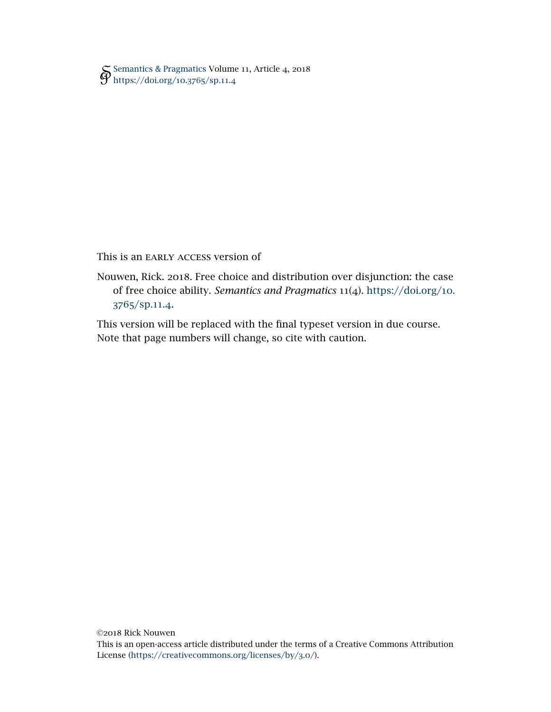[Semantics & Pragmatics](http://semprag.org/) Volume 11, Article 4, 2018 [https://doi.org/](https://doi.org/10.3765/sp.11.4)10.3765/sp.11.4

This is an early access version of

Nouwen, Rick. 2018. Free choice and distribution over disjunction: the case of free choice ability. *Semantics and Pragmatics* 11(4). [https://doi.org/](https://doi.org/10.3765/sp.11.4)10. 3765[/sp.](https://doi.org/10.3765/sp.11.4)11.4.

This version will be replaced with the final typeset version in due course. Note that page numbers will change, so cite with caution.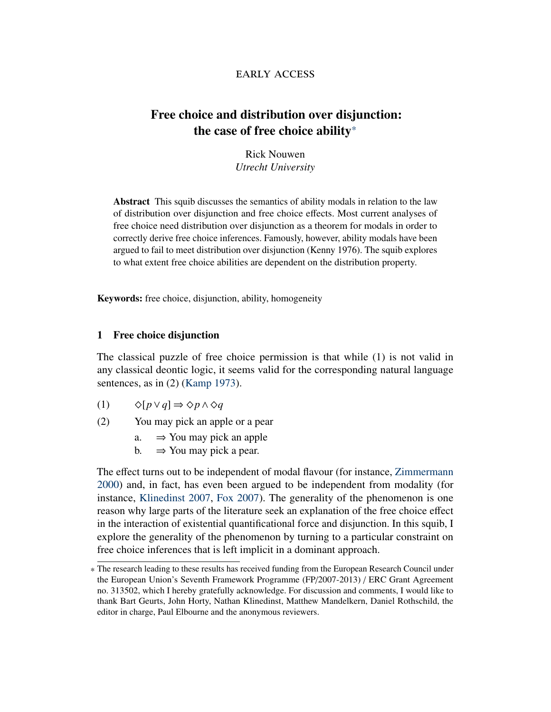# early access

# Free choice and distribution over disjunction: the case of free choice ability\*

Rick Nouwen *Utrecht University*

Abstract This squib discusses the semantics of ability modals in relation to the law of distribution over disjunction and free choice effects. Most current analyses of free choice need distribution over disjunction as a theorem for modals in order to correctly derive free choice inferences. Famously, however, ability modals have been argued to fail to meet distribution over disjunction (Kenny 1976). The squib explores to what extent free choice abilities are dependent on the distribution property.

Keywords: free choice, disjunction, ability, homogeneity

# 1 Free choice disjunction

The classical puzzle of free choice permission is that while (1) is not valid in any classical deontic logic, it seems valid for the corresponding natural language sentences, as in  $(2)$  [\(Kamp](#page-10-0) [1973\)](#page-10-0).

- (1)  $\diamond [p \vee q] \Rightarrow \diamond p \wedge \diamond q$
- (2) You may pick an apple or a pear
	- a.  $\Rightarrow$  You may pick an apple
	- b.  $\Rightarrow$  You may pick a pear.

The effect turns out to be independent of modal flavour (for instance, [Zimmermann](#page-11-0) [2000\)](#page-11-0) and, in fact, has even been argued to be independent from modality (for instance, [Klinedinst](#page-10-1) [2007,](#page-10-1) [Fox](#page-10-2) [2007\)](#page-10-2). The generality of the phenomenon is one reason why large parts of the literature seek an explanation of the free choice effect in the interaction of existential quantificational force and disjunction. In this squib, I explore the generality of the phenomenon by turning to a particular constraint on free choice inferences that is left implicit in a dominant approach.

<sup>\*</sup> The research leading to these results has received funding from the European Research Council under the European Union's Seventh Framework Programme (FP/2007-2013) / ERC Grant Agreement no. 313502, which I hereby gratefully acknowledge. For discussion and comments, I would like to thank Bart Geurts, John Horty, Nathan Klinedinst, Matthew Mandelkern, Daniel Rothschild, the editor in charge, Paul Elbourne and the anonymous reviewers.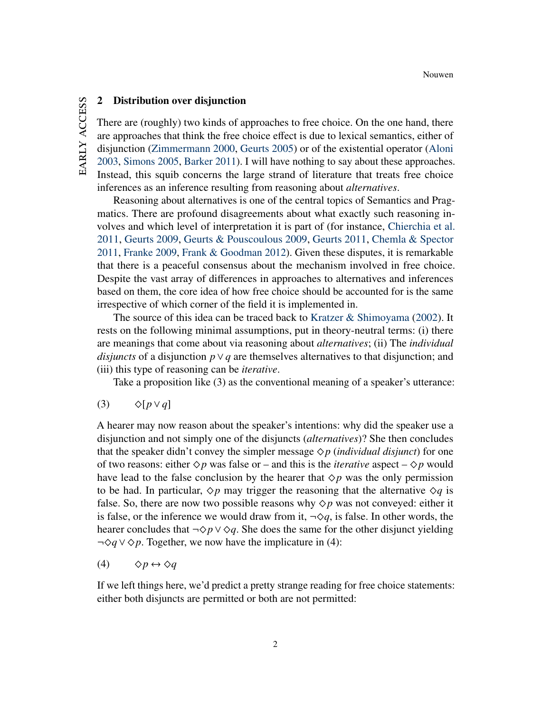# EARLY ACCESS early access

#### 2 Distribution over disjunction

There are (roughly) two kinds of approaches to free choice. On the one hand, there are approaches that think the free choice effect is due to lexical semantics, either of disjunction [\(Zimmermann](#page-11-0) [2000,](#page-11-0) [Geurts](#page-10-3) [2005\)](#page-10-3) or of the existential operator [\(Aloni](#page-9-0) [2003,](#page-9-0) [Simons](#page-11-1) [2005,](#page-11-1) [Barker](#page-9-1) [2011\)](#page-9-1). I will have nothing to say about these approaches. Instead, this squib concerns the large strand of literature that treats free choice inferences as an inference resulting from reasoning about *alternatives*.

Reasoning about alternatives is one of the central topics of Semantics and Pragmatics. There are profound disagreements about what exactly such reasoning involves and which level of interpretation it is part of (for instance, [Chierchia et al.](#page-10-4) [2011,](#page-10-4) [Geurts](#page-10-5) [2009,](#page-10-5) [Geurts & Pouscoulous](#page-10-6) [2009,](#page-10-6) [Geurts](#page-10-7) [2011,](#page-10-7) [Chemla & Spector](#page-10-8) [2011,](#page-10-8) [Franke](#page-10-9) [2009,](#page-10-9) [Frank & Goodman](#page-10-10) [2012\)](#page-10-10). Given these disputes, it is remarkable that there is a peaceful consensus about the mechanism involved in free choice. Despite the vast array of differences in approaches to alternatives and inferences based on them, the core idea of how free choice should be accounted for is the same irrespective of which corner of the field it is implemented in.

The source of this idea can be traced back to Kratzer  $\&$  Shimoyama [\(2002\)](#page-11-2). It rests on the following minimal assumptions, put in theory-neutral terms: (i) there are meanings that come about via reasoning about *alternatives*; (ii) The *individual disjuncts* of a disjunction  $p \vee q$  are themselves alternatives to that disjunction; and (iii) this type of reasoning can be *iterative*.

Take a proposition like (3) as the conventional meaning of a speaker's utterance:

<span id="page-2-0"></span>(3)  $\Diamond[p \lor q]$ 

A hearer may now reason about the speaker's intentions: why did the speaker use a disjunction and not simply one of the disjuncts (*alternatives*)? She then concludes that the speaker didn't convey the simpler message  $\Diamond p$  *(individual disjunct)* for one of two reasons: either  $\Diamond p$  was false or – and this is the *iterative* aspect –  $\Diamond p$  would have lead to the false conclusion by the hearer that  $\diamond p$  was the only permission to be had. In particular,  $\Diamond p$  may trigger the reasoning that the alternative  $\Diamond q$  is false. So, there are now two possible reasons why  $\Diamond p$  was not conveyed: either it is false, or the inference we would draw from it,  $\neg \Diamond q$ , is false. In other words, the hearer concludes that  $\neg$  $\Diamond p \lor \Diamond q$ . She does the same for the other disjunct yielding ¬*◇q*∨*◇p*. Together, we now have the implicature in (4):

(4)  $\Diamond p \leftrightarrow \Diamond q$ 

<span id="page-2-1"></span>If we left things here, we'd predict a pretty strange reading for free choice statements: either both disjuncts are permitted or both are not permitted: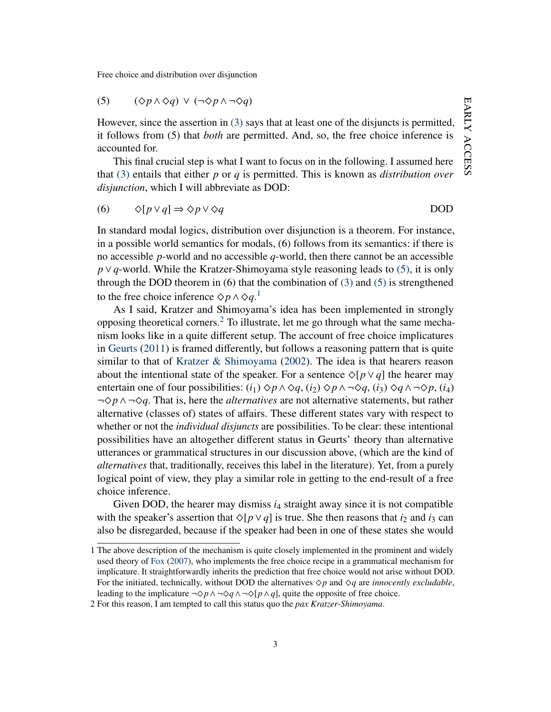$$
(5) \qquad (\Diamond p \land \Diamond q) \lor (\neg \Diamond p \land \neg \Diamond q)
$$

However, since the assertion in [\(3\)](#page-2-0) says that at least one of the disjuncts is permitted, it follows from (5) that *both* are permitted. And, so, the free choice inference is accounted for.

This final crucial step is what I want to focus on in the following. I assumed here that [\(3\)](#page-2-0) entails that either *p* or *q* is permitted. This is known as *distribution over disjunction*, which I will abbreviate as DOD:

(6) 
$$
\Diamond [p \lor q] \Rightarrow \Diamond p \lor \Diamond q
$$
 DOD

In standard modal logics, distribution over disjunction is a theorem. For instance, in a possible world semantics for modals, (6) follows from its semantics: if there is no accessible *p*-world and no accessible *q*-world, then there cannot be an accessible *p*∨*q*-world. While the Kratzer-Shimoyama style reasoning leads to [\(5\),](#page-2-1) it is only through the DOD theorem in  $(6)$  that the combination of  $(3)$  and  $(5)$  is strengthened to the free choice inference  $\diamond p \wedge \diamond q$ <sup>[1](#page-3-0)</sup>

As I said, Kratzer and Shimoyama's idea has been implemented in strongly opposing theoretical corners.[2](#page-3-1) To illustrate, let me go through what the same mechanism looks like in a quite different setup. The account of free choice implicatures in [Geurts](#page-10-7) [\(2011\)](#page-10-7) is framed differently, but follows a reasoning pattern that is quite similar to that of [Kratzer & Shimoyama](#page-11-2) [\(2002\)](#page-11-2). The idea is that hearers reason about the intentional state of the speaker. For a sentence  $\Diamond [p \lor q]$  the hearer may entertain one of four possibilities:  $(i_1) \Diamond p \land \Diamond q$ ,  $(i_2) \Diamond p \land \neg \Diamond q$ ,  $(i_3) \Diamond q \land \neg \Diamond p$ ,  $(i_4)$ ¬ $\diamond$ *p*  $\land$  ¬ $\diamond$ *q*. That is, here the *alternatives* are not alternative statements, but rather alternative (classes of) states of affairs. These different states vary with respect to whether or not the *individual disjuncts* are possibilities. To be clear: these intentional possibilities have an altogether different status in Geurts' theory than alternative utterances or grammatical structures in our discussion above, (which are the kind of *alternatives* that, traditionally, receives this label in the literature). Yet, from a purely logical point of view, they play a similar role in getting to the end-result of a free choice inference.

Given DOD, the hearer may dismiss  $i_4$  straight away since it is not compatible with the speaker's assertion that  $\Diamond [p \lor q]$  is true. She then reasons that *i*<sub>2</sub> and *i*<sub>3</sub> can also be disregarded, because if the speaker had been in one of these states she would

<span id="page-3-0"></span><sup>1</sup> The above description of the mechanism is quite closely implemented in the prominent and widely used theory of [Fox](#page-10-2) [\(2007\)](#page-10-2), who implements the free choice recipe in a grammatical mechanism for implicature. It straightforwardly inherits the prediction that free choice would not arise without DOD. For the initiated, technically, without DOD the alternatives  $\Diamond p$  and  $\Diamond q$  are *innocently excludable*, leading to the implicature  $\neg \Diamond p \land \neg \Diamond q \land \neg \Diamond [p \land q]$ , quite the opposite of free choice.

<span id="page-3-1"></span><sup>2</sup> For this reason, I am tempted to call this status quo the *pax Kratzer-Shimoyama*.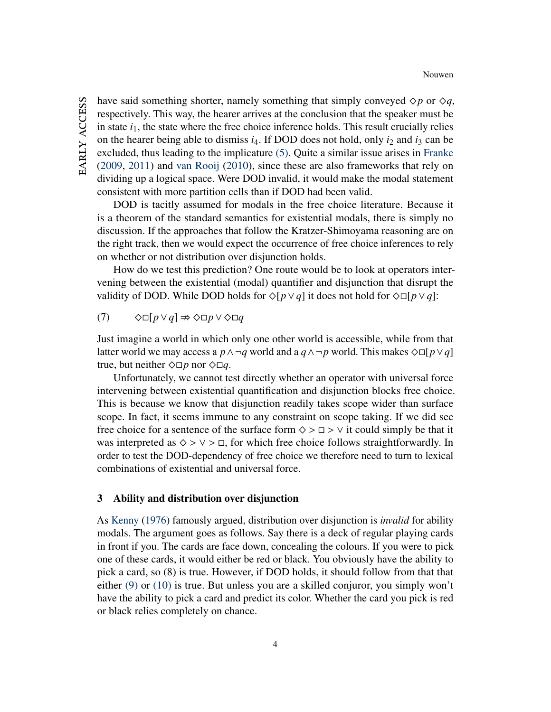have said something shorter, namely something that simply conveyed  $\Diamond p$  or  $\Diamond q$ , respectively. This way, the hearer arrives at the conclusion that the speaker must be in state  $i<sub>1</sub>$ , the state where the free choice inference holds. This result crucially relies on the hearer being able to dismiss  $i_4$ . If DOD does not hold, only  $i_2$  and  $i_3$  can be excluded, thus leading to the implicature [\(5\).](#page-2-1) Quite a similar issue arises in [Franke](#page-10-9) [\(2009,](#page-10-9) [2011\)](#page-10-11) and [van Rooij](#page-11-3) [\(2010\)](#page-11-3), since these are also frameworks that rely on dividing up a logical space. Were DOD invalid, it would make the modal statement consistent with more partition cells than if DOD had been valid.

DOD is tacitly assumed for modals in the free choice literature. Because it is a theorem of the standard semantics for existential modals, there is simply no discussion. If the approaches that follow the Kratzer-Shimoyama reasoning are on the right track, then we would expect the occurrence of free choice inferences to rely on whether or not distribution over disjunction holds.

How do we test this prediction? One route would be to look at operators intervening between the existential (modal) quantifier and disjunction that disrupt the validity of DOD. While DOD holds for  $\Diamond [p \lor q]$  it does not hold for  $\Diamond \Box [p \lor q]$ :

 $(7)$   $\diamond$ □[ $p \vee q$ ]  $\Rightarrow$   $\diamond$ □ $p \vee \diamond$ □ $q$ 

Just imagine a world in which only one other world is accessible, while from that latter world we may access a  $p \land \neg q$  world and a  $q \land \neg p$  world. This makes  $\Diamond \Box [p \lor q]$ true, but neither  $\Diamond \Box p$  nor  $\Diamond \Box q$ .

Unfortunately, we cannot test directly whether an operator with universal force intervening between existential quantification and disjunction blocks free choice. This is because we know that disjunction readily takes scope wider than surface scope. In fact, it seems immune to any constraint on scope taking. If we did see free choice for a sentence of the surface form  $\diamond$  >  $\Box$  >  $\vee$  it could simply be that it was interpreted as  $\diamond$  >  $\vee$  >  $\Box$ , for which free choice follows straightforwardly. In order to test the DOD-dependency of free choice we therefore need to turn to lexical combinations of existential and universal force.

# 3 Ability and distribution over disjunction

<span id="page-4-0"></span>As [Kenny](#page-10-12) [\(1976\)](#page-10-12) famously argued, distribution over disjunction is *invalid* for ability modals. The argument goes as follows. Say there is a deck of regular playing cards in front if you. The cards are face down, concealing the colours. If you were to pick one of these cards, it would either be red or black. You obviously have the ability to pick a card, so (8) is true. However, if DOD holds, it should follow from that that either [\(9\)](#page-5-0) or [\(10\)](#page-5-1) is true. But unless you are a skilled conjuror, you simply won't have the ability to pick a card and predict its color. Whether the card you pick is red or black relies completely on chance.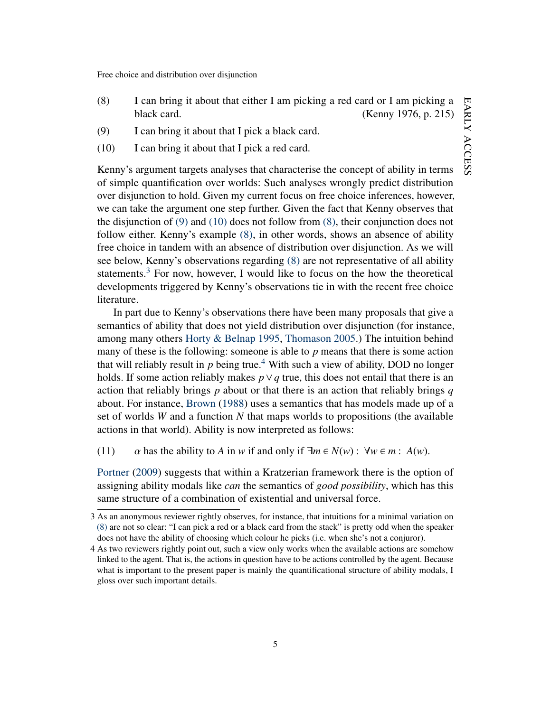- (8) I can bring it about that either I am picking a red card or I am picking a black card. (Kenny 1976, p. 215)
- <span id="page-5-1"></span><span id="page-5-0"></span>(9) I can bring it about that I pick a black card.
- (10) I can bring it about that I pick a red card.

Kenny's argument targets analyses that characterise the concept of ability in terms of simple quantification over worlds: Such analyses wrongly predict distribution over disjunction to hold. Given my current focus on free choice inferences, however, we can take the argument one step further. Given the fact that Kenny observes that the disjunction of [\(9\)](#page-5-0) and [\(10\)](#page-5-1) does not follow from [\(8\),](#page-4-0) their conjunction does not follow either. Kenny's example [\(8\),](#page-4-0) in other words, shows an absence of ability free choice in tandem with an absence of distribution over disjunction. As we will see below, Kenny's observations regarding [\(8\)](#page-4-0) are not representative of all ability statements.<sup>[3](#page-5-2)</sup> For now, however, I would like to focus on the how the theoretical developments triggered by Kenny's observations tie in with the recent free choice literature.

In part due to Kenny's observations there have been many proposals that give a semantics of ability that does not yield distribution over disjunction (for instance, among many others [Horty & Belnap](#page-10-13) [1995,](#page-10-13) [Thomason](#page-11-4) [2005.](#page-11-4)) The intuition behind many of these is the following: someone is able to *p* means that there is some action that will reliably result in  $p$  being true.<sup>[4](#page-5-3)</sup> With such a view of ability, DOD no longer holds. If some action reliably makes  $p \vee q$  true, this does not entail that there is an action that reliably brings *p* about or that there is an action that reliably brings *q* about. For instance, [Brown](#page-10-14) [\(1988\)](#page-10-14) uses a semantics that has models made up of a set of worlds *W* and a function *N* that maps worlds to propositions (the available actions in that world). Ability is now interpreted as follows:

(11)  $\alpha$  has the ability to *A* in *w* if and only if  $\exists m \in N(w) : \forall w \in m : A(w)$ .

[Portner](#page-11-5) [\(2009\)](#page-11-5) suggests that within a Kratzerian framework there is the option of assigning ability modals like *can* the semantics of *good possibility*, which has this same structure of a combination of existential and universal force.

<span id="page-5-2"></span><sup>3</sup> As an anonymous reviewer rightly observes, for instance, that intuitions for a minimal variation on [\(8\)](#page-4-0) are not so clear: "I can pick a red or a black card from the stack" is pretty odd when the speaker does not have the ability of choosing which colour he picks (i.e. when she's not a conjuror).

<span id="page-5-3"></span><sup>4</sup> As two reviewers rightly point out, such a view only works when the available actions are somehow linked to the agent. That is, the actions in question have to be actions controlled by the agent. Because what is important to the present paper is mainly the quantificational structure of ability modals, I gloss over such important details.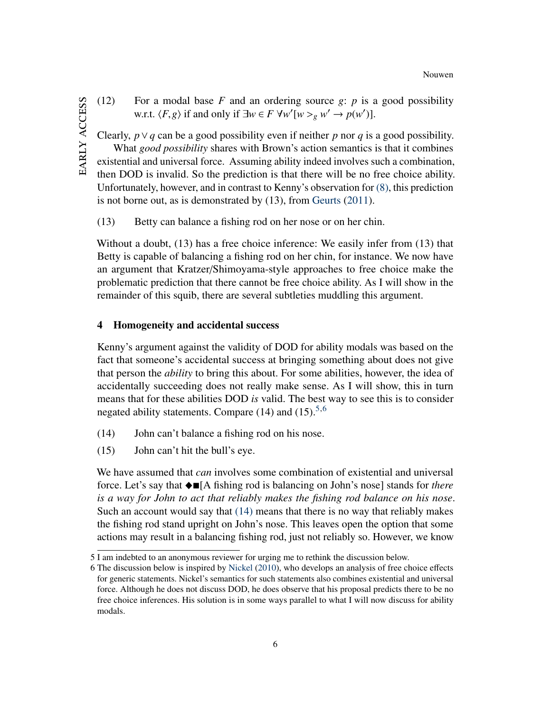(12) For a modal base  $F$  and an ordering source  $g$ :  $p$  is a good possibility *w.r.t.*  $\langle F, g \rangle$  if and only if ∃*w* ∈ *F* ∀*w*<sup>'</sup>[*w* ><sub>*g*</sub> *w*<sup>'</sup> → *p*(*w*<sup>'</sup>)].

Clearly, *p*∨*q* can be a good possibility even if neither *p* nor *q* is a good possibility. What *good possibility* shares with Brown's action semantics is that it combines existential and universal force. Assuming ability indeed involves such a combination, then DOD is invalid. So the prediction is that there will be no free choice ability. Unfortunately, however, and in contrast to Kenny's observation for [\(8\),](#page-4-0) this prediction is not borne out, as is demonstrated by (13), from [Geurts](#page-10-7) [\(2011\)](#page-10-7).

(13) Betty can balance a fishing rod on her nose or on her chin.

Without a doubt, (13) has a free choice inference: We easily infer from (13) that Betty is capable of balancing a fishing rod on her chin, for instance. We now have an argument that Kratzer/Shimoyama-style approaches to free choice make the problematic prediction that there cannot be free choice ability. As I will show in the remainder of this squib, there are several subtleties muddling this argument.

## 4 Homogeneity and accidental success

Kenny's argument against the validity of DOD for ability modals was based on the fact that someone's accidental success at bringing something about does not give that person the *ability* to bring this about. For some abilities, however, the idea of accidentally succeeding does not really make sense. As I will show, this in turn means that for these abilities DOD *is* valid. The best way to see this is to consider negated ability statements. Compare  $(14)$  and  $(15)$  $(15)$  $(15)$ <sup>5,[6](#page-6-1)</sup>

- <span id="page-6-3"></span><span id="page-6-2"></span>(14) John can't balance a fishing rod on his nose.
- (15) John can't hit the bull's eye.

We have assumed that *can* involves some combination of existential and universal force. Let's say that \_[A fishing rod is balancing on John's nose] stands for *there is a way for John to act that reliably makes the fishing rod balance on his nose*. Such an account would say that [\(14\)](#page-6-2) means that there is no way that reliably makes the fishing rod stand upright on John's nose. This leaves open the option that some actions may result in a balancing fishing rod, just not reliably so. However, we know

<span id="page-6-0"></span><sup>5</sup> I am indebted to an anonymous reviewer for urging me to rethink the discussion below.

<span id="page-6-1"></span><sup>6</sup> The discussion below is inspired by [Nickel](#page-11-6) [\(2010\)](#page-11-6), who develops an analysis of free choice effects for generic statements. Nickel's semantics for such statements also combines existential and universal force. Although he does not discuss DOD, he does observe that his proposal predicts there to be no free choice inferences. His solution is in some ways parallel to what I will now discuss for ability modals.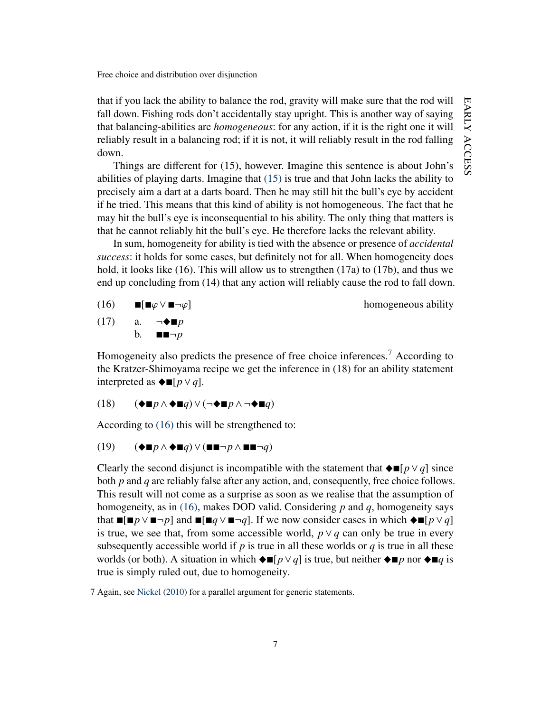EARLY ACCESS early access

Free choice and distribution over disjunction

that if you lack the ability to balance the rod, gravity will make sure that the rod will fall down. Fishing rods don't accidentally stay upright. This is another way of saying that balancing-abilities are *homogeneous*: for any action, if it is the right one it will reliably result in a balancing rod; if it is not, it will reliably result in the rod falling down.

Things are different for (15), however. Imagine this sentence is about John's abilities of playing darts. Imagine that [\(15\)](#page-6-3) is true and that John lacks the ability to precisely aim a dart at a darts board. Then he may still hit the bull's eye by accident if he tried. This means that this kind of ability is not homogeneous. The fact that he may hit the bull's eye is inconsequential to his ability. The only thing that matters is that he cannot reliably hit the bull's eye. He therefore lacks the relevant ability.

In sum, homogeneity for ability is tied with the absence or presence of *accidental success*: it holds for some cases, but definitely not for all. When homogeneity does hold, it looks like (16). This will allow us to strengthen (17a) to (17b), and thus we end up concluding from (14) that any action will reliably cause the rod to fall down.

<span id="page-7-1"></span>(16) 
$$
\blacksquare[\blacksquare \varphi \lor \blacksquare \neg \varphi]
$$
 homogeneous ability  
(17) a.  $\neg \blacklozenge \blacksquare p$ 

 $\neg\blacklozenge$  **n** b.  $\blacksquare \blacksquare \neg p$ 

Homogeneity also predicts the presence of free choice inferences.<sup>[7](#page-7-0)</sup> According to the Kratzer-Shimoyama recipe we get the inference in (18) for an ability statement interpreted as  $\blacklozenge$  **■**[ $p \vee q$ ].

$$
(18) \qquad (\blacklozenge \blacksquare p \land \blacklozenge \blacksquare q) \lor (\neg \blacklozenge \blacksquare p \land \neg \blacklozenge \blacksquare q)
$$

According to [\(16\)](#page-7-1) this will be strengthened to:

$$
(19) \qquad (\blacklozenge \blacksquare p \land \blacklozenge \blacksquare q) \lor (\blacksquare \blacksquare \neg p \land \blacksquare \blacksquare \neg q)
$$

Clearly the second disjunct is incompatible with the statement that  $\blacklozenge$   $\blacksquare$ [*p*∨*q*] since both *p* and *q* are reliably false after any action, and, consequently, free choice follows. This result will not come as a surprise as soon as we realise that the assumption of homogeneity, as in [\(16\),](#page-7-1) makes DOD valid. Considering *p* and *q*, homogeneity says that  $\blacksquare$ [ $\blacksquare$ *p*∨ $\blacksquare$  $\neg p$ ] and  $\blacksquare$ [ $\blacksquare$  $q \vee \blacksquare$  $\neg q$ ]. If we now consider cases in which  $\blacklozenge$   $\blacksquare$ [ $p \vee q$ ] is true, we see that, from some accessible world, *p*∨*q* can only be true in every subsequently accessible world if  $p$  is true in all these worlds or  $q$  is true in all these worlds (or both). A situation in which  $\blacklozenge$  **i** $[p \lor q]$  is true, but neither  $\blacklozenge$  **i** $p$  nor  $\blacklozenge$  **i** $q$  is true is simply ruled out, due to homogeneity.

<span id="page-7-0"></span><sup>7</sup> Again, see [Nickel](#page-11-6) [\(2010\)](#page-11-6) for a parallel argument for generic statements.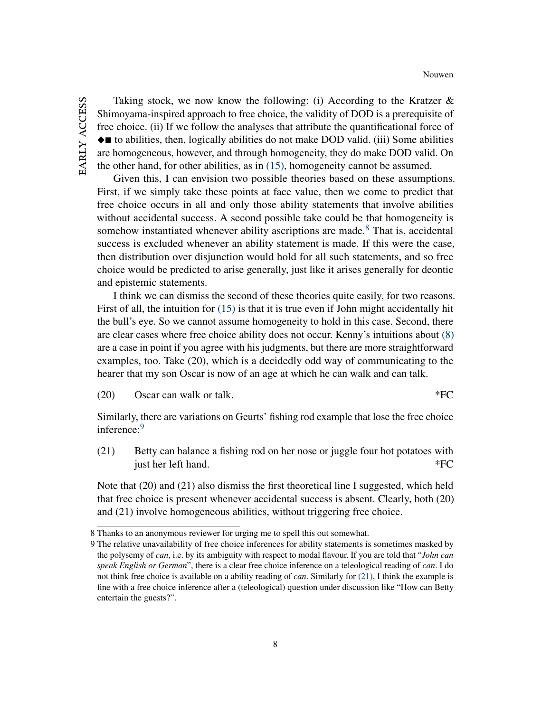Taking stock, we now know the following: (i) According to the Kratzer  $\&$ Shimoyama-inspired approach to free choice, the validity of DOD is a prerequisite of free choice. (ii) If we follow the analyses that attribute the quantificational force of  $\blacklozenge$  to abilities, then, logically abilities do not make DOD valid. (iii) Some abilities are homogeneous, however, and through homogeneity, they do make DOD valid. On the other hand, for other abilities, as in [\(15\),](#page-6-3) homogeneity cannot be assumed.

Given this, I can envision two possible theories based on these assumptions. First, if we simply take these points at face value, then we come to predict that free choice occurs in all and only those ability statements that involve abilities without accidental success. A second possible take could be that homogeneity is somehow instantiated whenever ability ascriptions are made.<sup>[8](#page-8-0)</sup> That is, accidental success is excluded whenever an ability statement is made. If this were the case, then distribution over disjunction would hold for all such statements, and so free choice would be predicted to arise generally, just like it arises generally for deontic and epistemic statements.

I think we can dismiss the second of these theories quite easily, for two reasons. First of all, the intuition for [\(15\)](#page-6-3) is that it is true even if John might accidentally hit the bull's eye. So we cannot assume homogeneity to hold in this case. Second, there are clear cases where free choice ability does not occur. Kenny's intuitions about [\(8\)](#page-4-0) are a case in point if you agree with his judgments, but there are more straightforward examples, too. Take (20), which is a decidedly odd way of communicating to the hearer that my son Oscar is now of an age at which he can walk and can talk.

 $(20)$  Oscar can walk or talk.  $*FC$ 

<span id="page-8-2"></span>Similarly, there are variations on Geurts' fishing rod example that lose the free choice inference:<sup>[9](#page-8-1)</sup>

(21) Betty can balance a fishing rod on her nose or juggle four hot potatoes with just her left hand. \*FC

Note that (20) and (21) also dismiss the first theoretical line I suggested, which held that free choice is present whenever accidental success is absent. Clearly, both (20) and (21) involve homogeneous abilities, without triggering free choice.

<span id="page-8-0"></span><sup>8</sup> Thanks to an anonymous reviewer for urging me to spell this out somewhat.

<span id="page-8-1"></span><sup>9</sup> The relative unavailability of free choice inferences for ability statements is sometimes masked by the polysemy of *can*, i.e. by its ambiguity with respect to modal flavour. If you are told that "*John can speak English or German*", there is a clear free choice inference on a teleological reading of *can*. I do not think free choice is available on a ability reading of *can*. Similarly for [\(21\),](#page-8-2) I think the example is fine with a free choice inference after a (teleological) question under discussion like "How can Betty entertain the guests?".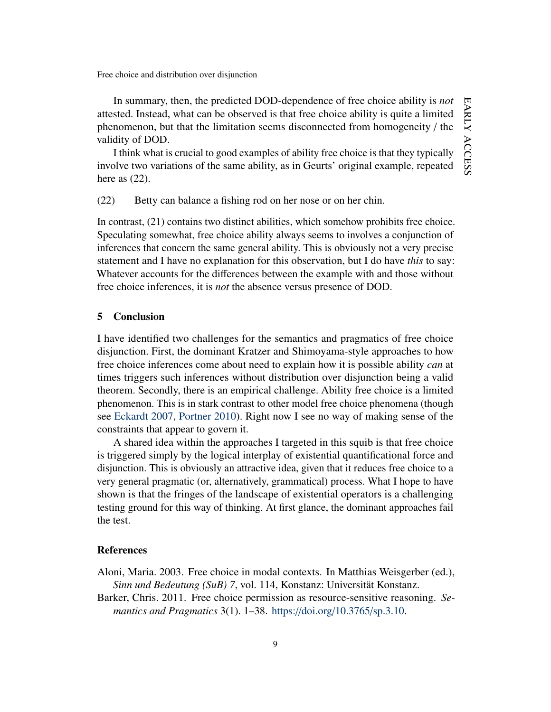In summary, then, the predicted DOD-dependence of free choice ability is *not* attested. Instead, what can be observed is that free choice ability is quite a limited phenomenon, but that the limitation seems disconnected from homogeneity / the validity of DOD.

I think what is crucial to good examples of ability free choice is that they typically involve two variations of the same ability, as in Geurts' original example, repeated here as  $(22)$ .

(22) Betty can balance a fishing rod on her nose or on her chin.

In contrast, (21) contains two distinct abilities, which somehow prohibits free choice. Speculating somewhat, free choice ability always seems to involves a conjunction of inferences that concern the same general ability. This is obviously not a very precise statement and I have no explanation for this observation, but I do have *this* to say: Whatever accounts for the differences between the example with and those without free choice inferences, it is *not* the absence versus presence of DOD.

## 5 Conclusion

I have identified two challenges for the semantics and pragmatics of free choice disjunction. First, the dominant Kratzer and Shimoyama-style approaches to how free choice inferences come about need to explain how it is possible ability *can* at times triggers such inferences without distribution over disjunction being a valid theorem. Secondly, there is an empirical challenge. Ability free choice is a limited phenomenon. This is in stark contrast to other model free choice phenomena (though see [Eckardt](#page-10-15) [2007,](#page-10-15) [Portner](#page-11-7) [2010\)](#page-11-7). Right now I see no way of making sense of the constraints that appear to govern it.

A shared idea within the approaches I targeted in this squib is that free choice is triggered simply by the logical interplay of existential quantificational force and disjunction. This is obviously an attractive idea, given that it reduces free choice to a very general pragmatic (or, alternatively, grammatical) process. What I hope to have shown is that the fringes of the landscape of existential operators is a challenging testing ground for this way of thinking. At first glance, the dominant approaches fail the test.

#### References

- <span id="page-9-0"></span>Aloni, Maria. 2003. Free choice in modal contexts. In Matthias Weisgerber (ed.), *Sinn und Bedeutung (SuB) 7*, vol. 114, Konstanz: Universität Konstanz.
- <span id="page-9-1"></span>Barker, Chris. 2011. Free choice permission as resource-sensitive reasoning. *Semantics and Pragmatics* 3(1). 1–38. https://doi.org/[10.3765](https://doi.org/10.3765/sp.3.10)/sp.3.10.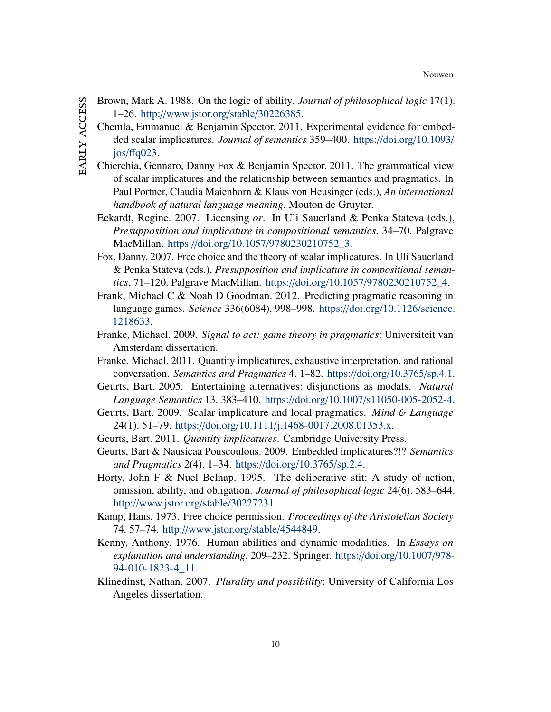- <span id="page-10-15"></span><span id="page-10-14"></span><span id="page-10-13"></span><span id="page-10-12"></span><span id="page-10-11"></span><span id="page-10-10"></span><span id="page-10-9"></span><span id="page-10-8"></span><span id="page-10-7"></span><span id="page-10-6"></span><span id="page-10-5"></span><span id="page-10-4"></span><span id="page-10-3"></span><span id="page-10-2"></span><span id="page-10-1"></span><span id="page-10-0"></span>Brown, Mark A. 1988. On the logic of ability. *Journal of philosophical logic* 17(1). 1–26. http://[www.jstor.org](http://www.jstor.org/stable/30226385)/stable/30226385.
	- Chemla, Emmanuel & Benjamin Spector. 2011. Experimental evidence for embedded scalar implicatures. *Journal of semantics* 359–400. https://doi.org/[10.1093](https://doi.org/10.1093/jos/ffq023)/  $jos/ffq023$ .
	- Chierchia, Gennaro, Danny Fox & Benjamin Spector. 2011. The grammatical view of scalar implicatures and the relationship between semantics and pragmatics. In Paul Portner, Claudia Maienborn & Klaus von Heusinger (eds.), *An international handbook of natural language meaning*, Mouton de Gruyter.
	- Eckardt, Regine. 2007. Licensing *or*. In Uli Sauerland & Penka Stateva (eds.), *Presupposition and implicature in compositional semantics*, 34–70. Palgrave MacMillan. https://doi.org/10.1057/[9780230210752\\_3.](https://doi.org/10.1057/9780230210752_3)
	- Fox, Danny. 2007. Free choice and the theory of scalar implicatures. In Uli Sauerland & Penka Stateva (eds.), *Presupposition and implicature in compositional semantics*, 71–120. Palgrave MacMillan. https://doi.org/10.1057/[9780230210752\\_4.](https://doi.org/10.1057/9780230210752_4)
	- Frank, Michael C & Noah D Goodman. 2012. Predicting pragmatic reasoning in language games. *Science* 336(6084). 998–998. https://doi.org/[10.1126](https://doi.org/10.1126/science.1218633)/science. [1218633.](https://doi.org/10.1126/science.1218633)
	- Franke, Michael. 2009. *Signal to act: game theory in pragmatics*: Universiteit van Amsterdam dissertation.
	- Franke, Michael. 2011. Quantity implicatures, exhaustive interpretation, and rational conversation. *Semantics and Pragmatics* 4. 1–82. https://doi.org/[10.3765](https://doi.org/10.3765/sp.4.1)/sp.4.1.
	- Geurts, Bart. 2005. Entertaining alternatives: disjunctions as modals. *Natural Language Semantics* 13. 383–410. https://doi.org/10.1007/[s11050-005-2052-4.](https://doi.org/10.1007/s11050-005-2052-4)
	- Geurts, Bart. 2009. Scalar implicature and local pragmatics. *Mind* & *Language* 24(1). 51–79. https://doi.org/10.1111/[j.1468-0017.2008.01353.x.](https://doi.org/10.1111/j.1468-0017.2008.01353.x)
	- Geurts, Bart. 2011. *Quantity implicatures*. Cambridge University Press.
	- Geurts, Bart & Nausicaa Pouscoulous. 2009. Embedded implicatures?!? *Semantics and Pragmatics* 2(4). 1–34. https://doi.org/[10.3765](https://doi.org/10.3765/sp.2.4)/sp.2.4.
	- Horty, John F & Nuel Belnap. 1995. The deliberative stit: A study of action, omission, ability, and obligation. *Journal of philosophical logic* 24(6). 583–644. http://[www.jstor.org](http://www.jstor.org/stable/30227231)/stable/30227231.
	- Kamp, Hans. 1973. Free choice permission. *Proceedings of the Aristotelian Society* 74. 57–74. http://[www.jstor.org](http://www.jstor.org/stable/4544849)/stable/4544849.
	- Kenny, Anthony. 1976. Human abilities and dynamic modalities. In *Essays on explanation and understanding*, 209–232. Springer. https://doi.org/[10.1007](https://doi.org/10.1007/978-94-010-1823-4_11)/978- [94-010-1823-4\\_11.](https://doi.org/10.1007/978-94-010-1823-4_11)
	- Klinedinst, Nathan. 2007. *Plurality and possibility*: University of California Los Angeles dissertation.